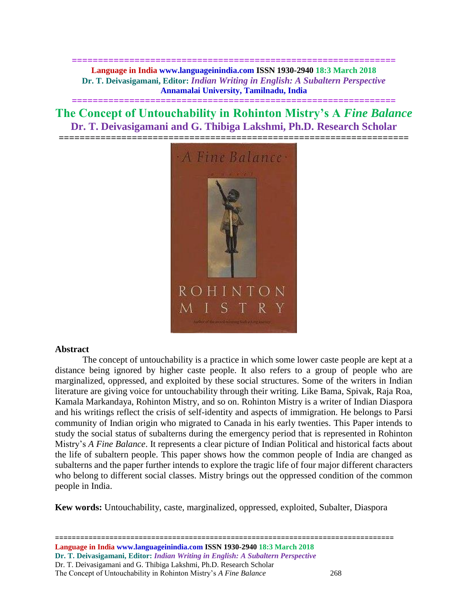**============================================================== Language in India www.languageinindia.com ISSN 1930-2940 18:3 March 2018 Dr. T. Deivasigamani, Editor:** *Indian Writing in English: A Subaltern Perspective* **Annamalai University, Tamilnadu, India**

**The Concept of Untouchability in Rohinton Mistry's A** *Fine Balance* **Dr. T. Deivasigamani and G. Thibiga Lakshmi, Ph.D. Research Scholar**

**==============================================================**



## **Abstract**

The concept of untouchability is a practice in which some lower caste people are kept at a distance being ignored by higher caste people. It also refers to a group of people who are marginalized, oppressed, and exploited by these social structures. Some of the writers in Indian literature are giving voice for untouchability through their writing. Like Bama, Spivak, Raja Roa, Kamala Markandaya, Rohinton Mistry, and so on. Rohinton Mistry is a writer of Indian Diaspora and his writings reflect the crisis of self-identity and aspects of immigration. He belongs to Parsi community of Indian origin who migrated to Canada in his early twenties. This Paper intends to study the social status of subalterns during the emergency period that is represented in Rohinton Mistry's *A Fine Balance*. It represents a clear picture of Indian Political and historical facts about the life of subaltern people. This paper shows how the common people of India are changed as subalterns and the paper further intends to explore the tragic life of four major different characters who belong to different social classes. Mistry brings out the oppressed condition of the common people in India.

**Kew words:** Untouchability, caste, marginalized, oppressed, exploited, Subalter, Diaspora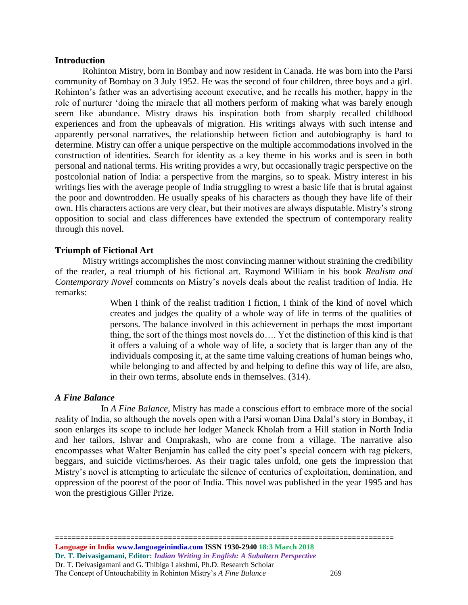### **Introduction**

Rohinton Mistry, born in Bombay and now resident in Canada. He was born into the Parsi community of Bombay on 3 July 1952. He was the second of four children, three boys and a girl. Rohinton's father was an advertising account executive, and he recalls his mother, happy in the role of nurturer 'doing the miracle that all mothers perform of making what was barely enough seem like abundance. Mistry draws his inspiration both from sharply recalled childhood experiences and from the upheavals of migration. His writings always with such intense and apparently personal narratives, the relationship between fiction and autobiography is hard to determine. Mistry can offer a unique perspective on the multiple accommodations involved in the construction of identities. Search for identity as a key theme in his works and is seen in both personal and national terms. His writing provides a wry, but occasionally tragic perspective on the postcolonial nation of India: a perspective from the margins, so to speak. Mistry interest in his writings lies with the average people of India struggling to wrest a basic life that is brutal against the poor and downtrodden. He usually speaks of his characters as though they have life of their own. His characters actions are very clear, but their motives are always disputable. Mistry's strong opposition to social and class differences have extended the spectrum of contemporary reality through this novel.

## **Triumph of Fictional Art**

Mistry writings accomplishes the most convincing manner without straining the credibility of the reader, a real triumph of his fictional art. Raymond William in his book *Realism and Contemporary Novel* comments on Mistry's novels deals about the realist tradition of India. He remarks:

> When I think of the realist tradition I fiction, I think of the kind of novel which creates and judges the quality of a whole way of life in terms of the qualities of persons. The balance involved in this achievement in perhaps the most important thing, the sort of the things most novels do…. Yet the distinction of this kind is that it offers a valuing of a whole way of life, a society that is larger than any of the individuals composing it, at the same time valuing creations of human beings who, while belonging to and affected by and helping to define this way of life, are also, in their own terms, absolute ends in themselves. (314).

### *A Fine Balance*

 In *A Fine Balance,* Mistry has made a conscious effort to embrace more of the social reality of India, so although the novels open with a Parsi woman Dina Dalal's story in Bombay, it soon enlarges its scope to include her lodger Maneck Kholah from a Hill station in North India and her tailors, Ishvar and Omprakash, who are come from a village. The narrative also encompasses what Walter Benjamin has called the city poet's special concern with rag pickers, beggars, and suicide victims/heroes. As their tragic tales unfold, one gets the impression that Mistry's novel is attempting to articulate the silence of centuries of exploitation, domination, and oppression of the poorest of the poor of India. This novel was published in the year 1995 and has won the prestigious Giller Prize.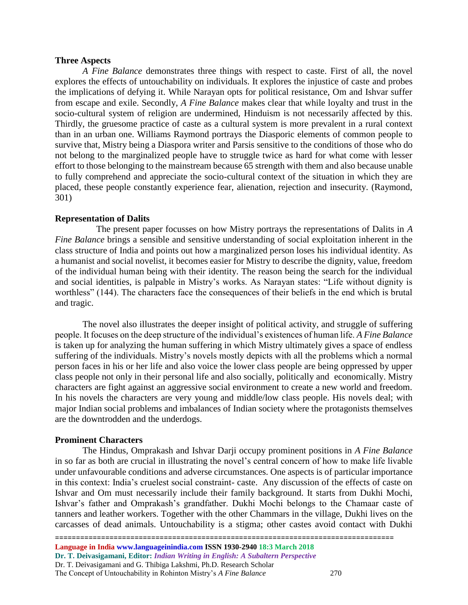# **Three Aspects**

*A Fine Balance* demonstrates three things with respect to caste. First of all, the novel explores the effects of untouchability on individuals. It explores the injustice of caste and probes the implications of defying it. While Narayan opts for political resistance, Om and Ishvar suffer from escape and exile. Secondly, *A Fine Balance* makes clear that while loyalty and trust in the socio-cultural system of religion are undermined, Hinduism is not necessarily affected by this. Thirdly, the gruesome practice of caste as a cultural system is more prevalent in a rural context than in an urban one. Williams Raymond portrays the Diasporic elements of common people to survive that, Mistry being a Diaspora writer and Parsis sensitive to the conditions of those who do not belong to the marginalized people have to struggle twice as hard for what come with lesser effort to those belonging to the mainstream because 65 strength with them and also because unable to fully comprehend and appreciate the socio-cultural context of the situation in which they are placed, these people constantly experience fear, alienation, rejection and insecurity. (Raymond, 301)

## **Representation of Dalits**

 The present paper focusses on how Mistry portrays the representations of Dalits in *A Fine Balance* brings a sensible and sensitive understanding of social exploitation inherent in the class structure of India and points out how a marginalized person loses his individual identity. As a humanist and social novelist, it becomes easier for Mistry to describe the dignity, value, freedom of the individual human being with their identity. The reason being the search for the individual and social identities, is palpable in Mistry's works. As Narayan states: "Life without dignity is worthless" (144). The characters face the consequences of their beliefs in the end which is brutal and tragic.

The novel also illustrates the deeper insight of political activity, and struggle of suffering people. It focuses on the deep structure of the individual's existences of human life. *A Fine Balance* is taken up for analyzing the human suffering in which Mistry ultimately gives a space of endless suffering of the individuals. Mistry's novels mostly depicts with all the problems which a normal person faces in his or her life and also voice the lower class people are being oppressed by upper class people not only in their personal life and also socially, politically and economically. Mistry characters are fight against an aggressive social environment to create a new world and freedom. In his novels the characters are very young and middle/low class people. His novels deal; with major Indian social problems and imbalances of Indian society where the protagonists themselves are the downtrodden and the underdogs.

### **Prominent Characters**

The Hindus, Omprakash and Ishvar Darji occupy prominent positions in *A Fine Balance* in so far as both are crucial in illustrating the novel's central concern of how to make life livable under unfavourable conditions and adverse circumstances. One aspects is of particular importance in this context: India's cruelest social constraint- caste. Any discussion of the effects of caste on Ishvar and Om must necessarily include their family background. It starts from Dukhi Mochi, Ishvar's father and Omprakash's grandfather. Dukhi Mochi belongs to the Chamaar caste of tanners and leather workers. Together with the other Chammars in the village, Dukhi lives on the carcasses of dead animals. Untouchability is a stigma; other castes avoid contact with Dukhi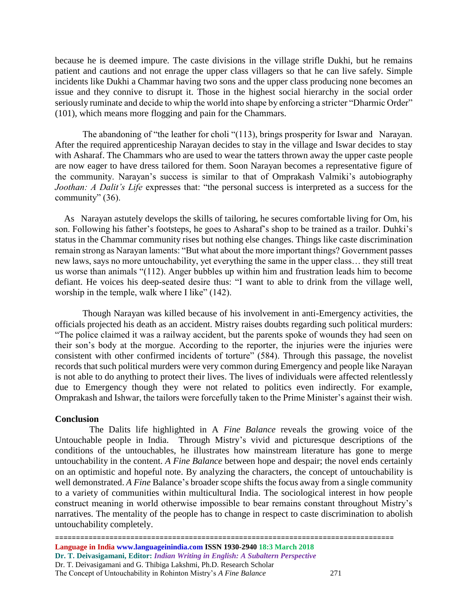because he is deemed impure. The caste divisions in the village strifle Dukhi, but he remains patient and cautions and not enrage the upper class villagers so that he can live safely. Simple incidents like Dukhi a Chammar having two sons and the upper class producing none becomes an issue and they connive to disrupt it. Those in the highest social hierarchy in the social order seriously ruminate and decide to whip the world into shape by enforcing a stricter "Dharmic Order" (101), which means more flogging and pain for the Chammars.

The abandoning of "the leather for choli "(113), brings prosperity for Iswar and Narayan. After the required apprenticeship Narayan decides to stay in the village and Iswar decides to stay with Asharaf. The Chammars who are used to wear the tatters thrown away the upper caste people are now eager to have dress tailored for them. Soon Narayan becomes a representative figure of the community. Narayan's success is similar to that of Omprakash Valmiki's autobiography *Joothan: A Dalit's Life* expresses that: "the personal success is interpreted as a success for the community" (36).

 As Narayan astutely develops the skills of tailoring, he secures comfortable living for Om, his son. Following his father's footsteps, he goes to Asharaf's shop to be trained as a trailor. Duhki's status in the Chammar community rises but nothing else changes. Things like caste discrimination remain strong as Narayan laments: "But what about the more important things? Government passes new laws, says no more untouchability, yet everything the same in the upper class… they still treat us worse than animals "(112). Anger bubbles up within him and frustration leads him to become defiant. He voices his deep-seated desire thus: "I want to able to drink from the village well, worship in the temple, walk where I like" (142).

Though Narayan was killed because of his involvement in anti-Emergency activities, the officials projected his death as an accident. Mistry raises doubts regarding such political murders: "The police claimed it was a railway accident, but the parents spoke of wounds they had seen on their son's body at the morgue. According to the reporter, the injuries were the injuries were consistent with other confirmed incidents of torture" (584). Through this passage, the novelist records that such political murders were very common during Emergency and people like Narayan is not able to do anything to protect their lives. The lives of individuals were affected relentlessly due to Emergency though they were not related to politics even indirectly. For example, Omprakash and Ishwar, the tailors were forcefully taken to the Prime Minister's against their wish.

### **Conclusion**

 The Dalits life highlighted in A *Fine Balance* reveals the growing voice of the Untouchable people in India. Through Mistry's vivid and picturesque descriptions of the conditions of the untouchables, he illustrates how mainstream literature has gone to merge untouchability in the content. *A Fine Balance* between hope and despair; the novel ends certainly on an optimistic and hopeful note. By analyzing the characters, the concept of untouchability is well demonstrated. *A Fine* Balance's broader scope shifts the focus away from a single community to a variety of communities within multicultural India. The sociological interest in how people construct meaning in world otherwise impossible to bear remains constant throughout Mistry's narratives. The mentality of the people has to change in respect to caste discrimination to abolish untouchability completely.

================================================================================= **Language in India www.languageinindia.com ISSN 1930-2940 18:3 March 2018 Dr. T. Deivasigamani, Editor:** *Indian Writing in English: A Subaltern Perspective* Dr. T. Deivasigamani and G. Thibiga Lakshmi, Ph.D. Research Scholar The Concept of Untouchability in Rohinton Mistry's *A Fine Balance* 271